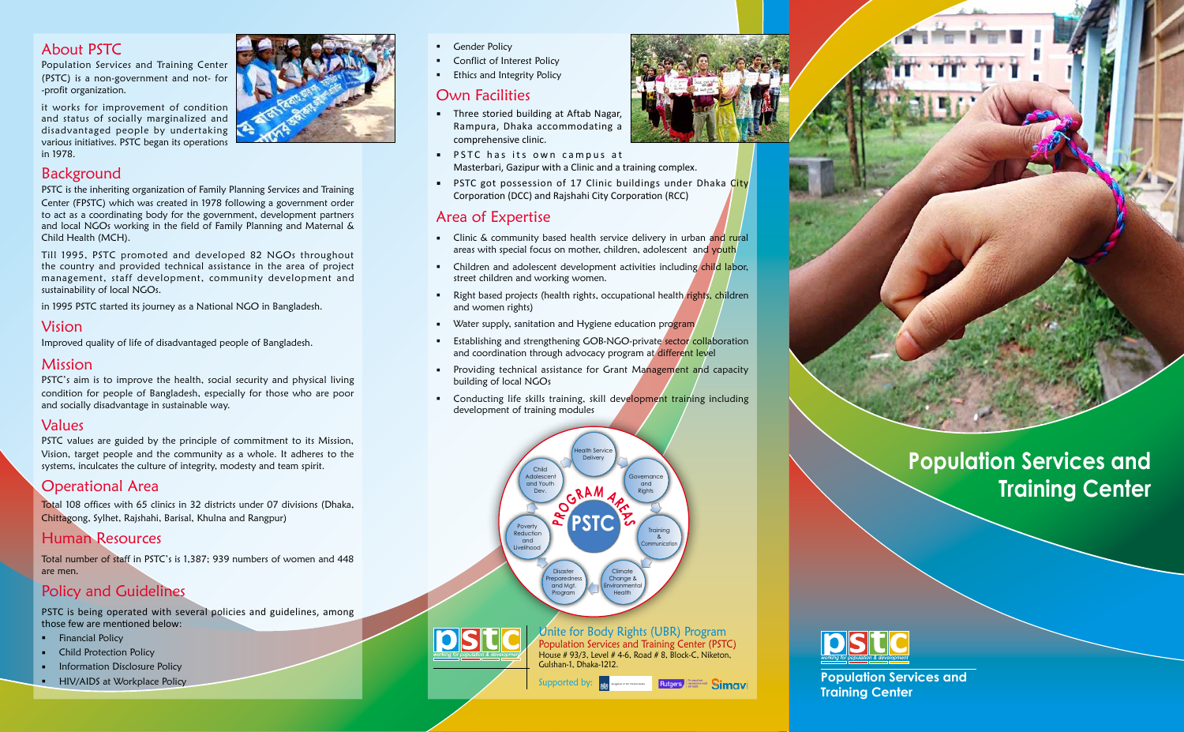# **Population Services and Training Center**



- Gender Policy
- Conflict of Interest Policy
- **Ethics and Integrity Policy**

**Population Services and**

**Training Center**



# Own Facilities

- **Three storied building at Aftab Nagar,** Rampura, Dhaka accommodating a comprehensive clinic.
- **PSTC** has its own campus at Masterbari, Gazipur with a Clinic and a training complex.
- **PSTC** got possession of 17 Clinic buildings under Dhaka City Corporation (DCC) and Rajshahi City Corporation (RCC)

## Area of Expertise

- Clinic & community based health service delivery in urban and rural areas with special focus on mother, children, adolescent and youth
- Children and adolescent development activities including child labor, street children and working women.
- Right based projects (health rights, occupational health rights, children and women rights)
- Water supply, sanitation and Hygiene education program
- Establishing and strengthening GOB-NGO-private sector collaboration and coordination through advocacy program at different level
- **Providing technical assistance for Grant Management and capacity** building of local NGOs
- **Conducting life skills training, skill development training including** development of training modules

## About PSTC

Population Services and Training Center (PSTC) is a non-government and not- for -profit organization.

it works for improvement of condition and status of socially marginalized and disadvantaged people by undertaking various initiatives. PSTC began its operations in 1978.

## Background

PSTC is the inheriting organization of Family Planning Services and Training Center (FPSTC) which was created in 1978 following a government order to act as a coordinating body for the government, development partners and local NGOs working in the field of Family Planning and Maternal & Child Health (MCH).

Till 1995, PSTC promoted and developed 82 NGOs throughout the country and provided technical assistance in the area of project management, staff development, community development and sustainability of local NGOs.

in 1995 PSTC started its journey as a National NGO in Bangladesh.

## Vision

Improved quality of life of disadvantaged people of Bangladesh.

## Mission

PSTC's aim is to improve the health, social security and physical living condition for people of Bangladesh, especially for those who are poor and socially disadvantage in sustainable way.

### Values

PSTC values are guided by the principle of commitment to its Mission, Vision, target people and the community as a whole. It adheres to the systems, inculcates the culture of integrity, modesty and team spirit.

# Operational Area

Total 108 offices with 65 clinics in 32 districts under 07 divisions (Dhaka, Chittagong, Sylhet, Rajshahi, Barisal, Khulna and Rangpur)

# Human Resources

Total number of staff in PSTC's is 1,387; 939 numbers of women and 448 are men.

# Policy and Guidelines

PSTC is being operated with several policies and guidelines, among those few are mentioned below:

- **Financial Policy**
- **•** Child Protection Policy
- **Information Disclosure Policy**
- **HIV/AIDS** at Workplace Policy



Unite for Body Rights (UBR) Program Population Services and Training Center (PSTC) House # 93/3, Level # 4-6, Road # 8, Block-C, Niketon, Gulshan-1, Dhaka-1212.

Simavi





Supported by: